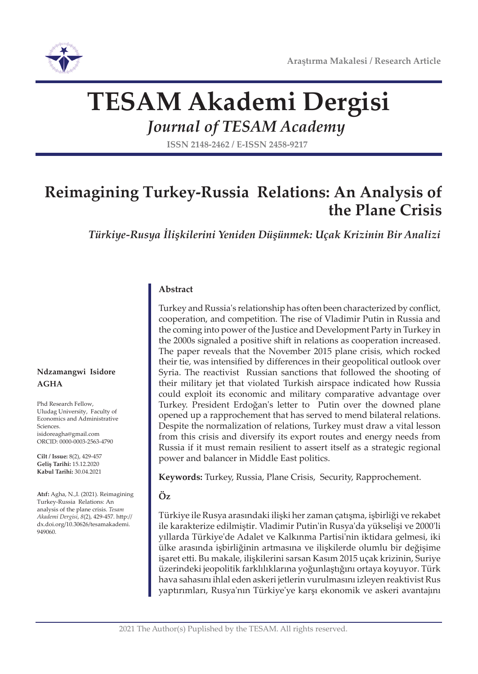

# **TESAM Akademi Dergisi**

*Journal of TESAM Academy*

**ISSN 2148-2462 / E-ISSN 2458-9217**

# **Reimagining Turkey-Russia Relations: An Analysis of the Plane Crisis**

*Türkiye-Rusya İlişkilerini Yeniden Düşünmek: Uçak Krizinin Bir Analizi*

#### **Abstract**

Turkey and Russia's relationship has often been characterized by conflict, cooperation, and competition. The rise of Vladimir Putin in Russia and the coming into power of the Justice and Development Party in Turkey in the 2000s signaled a positive shift in relations as cooperation increased. The paper reveals that the November 2015 plane crisis, which rocked their tie, was intensified by differences in their geopolitical outlook over Syria. The reactivist Russian sanctions that followed the shooting of their military jet that violated Turkish airspace indicated how Russia could exploit its economic and military comparative advantage over Turkey. President Erdoğan's letter to Putin over the downed plane opened up a rapprochement that has served to mend bilateral relations. Despite the normalization of relations, Turkey must draw a vital lesson from this crisis and diversify its export routes and energy needs from Russia if it must remain resilient to assert itself as a strategic regional power and balancer in Middle East politics.

**Keywords:** Turkey, Russia, Plane Crisis, Security, Rapprochement.

#### **Öz**

Türkiye ile Rusya arasındaki ilişki her zaman çatışma, işbirliği ve rekabet ile karakterize edilmiştir. Vladimir Putin'in Rusya'da yükselişi ve 2000'li yıllarda Türkiye'de Adalet ve Kalkınma Partisi'nin iktidara gelmesi, iki ülke arasında işbirliğinin artmasına ve ilişkilerde olumlu bir değişime işaret etti. Bu makale, ilişkilerini sarsan Kasım 2015 uçak krizinin, Suriye üzerindeki jeopolitik farklılıklarına yoğunlaştığını ortaya koyuyor. Türk hava sahasını ihlal eden askeri jetlerin vurulmasını izleyen reaktivist Rus yaptırımları, Rusya'nın Türkiye'ye karşı ekonomik ve askeri avantajını

**Ndzamangwi Isidore AGHA** 

Phd Research Fellow, Uludag University, Faculty of Economics and Administrative Sciences. isidoreagha@gmail.com ORCID: 0000-0003-2563-4790

**Cilt / Issue:** 8(2), 429-457 **Geliş Tarihi:** 15.12.2020 **Kabul Tarihi:** 30.04.2021

**Atıf:** Agha, N.,I. (2021). Reimagining Turkey-Russia Relations: An analysis of the plane crisis. *Tesam Akademi Dergisi*, *8*(2), 429-457. http:// dx.doi.org/10.30626/tesamakademi. 949060.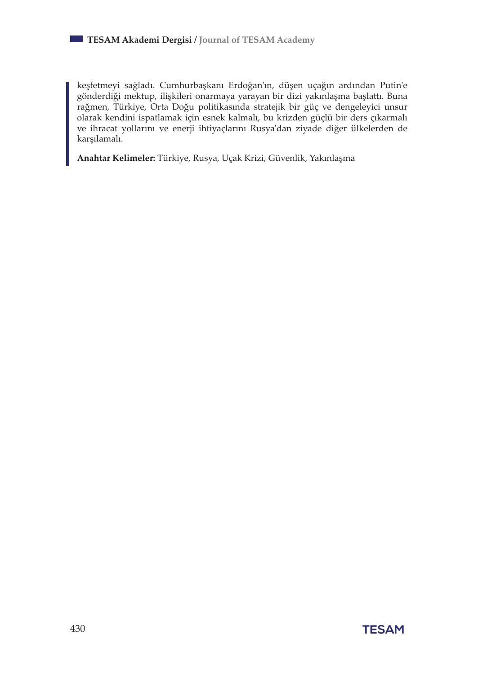keşfetmeyi sağladı. Cumhurbaşkanı Erdoğan'ın, düşen uçağın ardından Putin'e gönderdiği mektup, ilişkileri onarmaya yarayan bir dizi yakınlaşma başlattı. Buna rağmen, Türkiye, Orta Doğu politikasında stratejik bir güç ve dengeleyici unsur olarak kendini ispatlamak için esnek kalmalı, bu krizden güçlü bir ders çıkarmalı ve ihracat yollarını ve enerji ihtiyaçlarını Rusya'dan ziyade diğer ülkelerden de karşılamalı.

**Anahtar Kelimeler:** Türkiye, Rusya, Uçak Krizi, Güvenlik, Yakınlaşma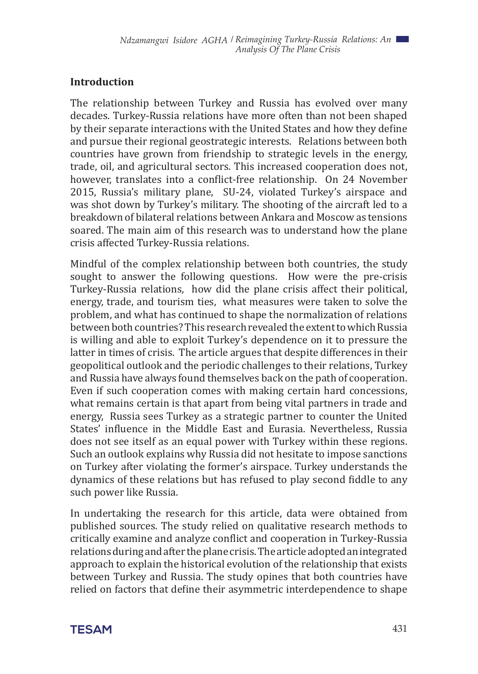#### **Introduction**

The relationship between Turkey and Russia has evolved over many decades. Turkey-Russia relations have more often than not been shaped by their separate interactions with the United States and how they define and pursue their regional geostrategic interests. Relations between both countries have grown from friendship to strategic levels in the energy, trade, oil, and agricultural sectors. This increased cooperation does not, however, translates into a conflict-free relationship. On 24 November 2015, Russia's military plane, SU-24, violated Turkey's airspace and was shot down by Turkey's military. The shooting of the aircraft led to a breakdown of bilateral relations between Ankara and Moscow as tensions soared. The main aim of this research was to understand how the plane crisis affected Turkey-Russia relations.

Mindful of the complex relationship between both countries, the study sought to answer the following questions. How were the pre-crisis Turkey-Russia relations, how did the plane crisis affect their political, energy, trade, and tourism ties, what measures were taken to solve the problem, and what has continued to shape the normalization of relations between both countries? This research revealed the extent to which Russia is willing and able to exploit Turkey's dependence on it to pressure the latter in times of crisis. The article argues that despite differences in their geopolitical outlook and the periodic challenges to their relations, Turkey and Russia have always found themselves back on the path of cooperation. Even if such cooperation comes with making certain hard concessions, what remains certain is that apart from being vital partners in trade and energy, Russia sees Turkey as a strategic partner to counter the United States' influence in the Middle East and Eurasia. Nevertheless, Russia does not see itself as an equal power with Turkey within these regions. Such an outlook explains why Russia did not hesitate to impose sanctions on Turkey after violating the former's airspace. Turkey understands the dynamics of these relations but has refused to play second fiddle to any such power like Russia.

In undertaking the research for this article, data were obtained from published sources. The study relied on qualitative research methods to critically examine and analyze conflict and cooperation in Turkey-Russia relations during and after the plane crisis. The article adopted an integrated approach to explain the historical evolution of the relationship that exists between Turkey and Russia. The study opines that both countries have relied on factors that define their asymmetric interdependence to shape

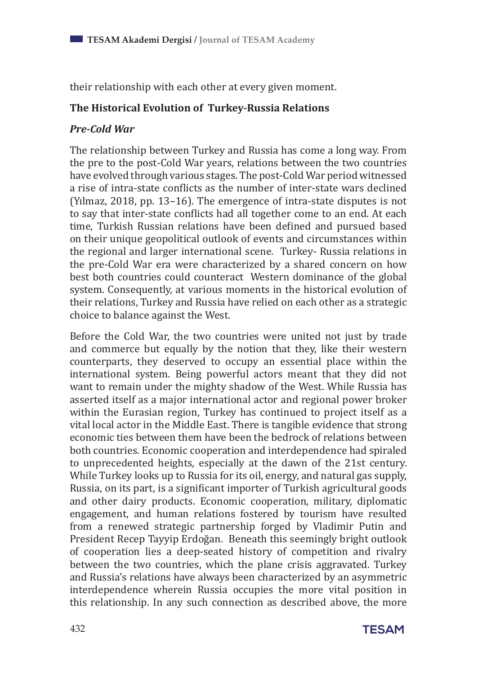their relationship with each other at every given moment.

#### **The Historical Evolution of Turkey-Russia Relations**

#### *Pre-Cold War*

The relationship between Turkey and Russia has come a long way. From the pre to the post-Cold War years, relations between the two countries have evolved through various stages. The post-Cold War period witnessed a rise of intra-state conflicts as the number of inter-state wars declined (Yılmaz, 2018, pp. 13–16). The emergence of intra-state disputes is not to say that inter-state conflicts had all together come to an end. At each time, Turkish Russian relations have been defined and pursued based on their unique geopolitical outlook of events and circumstances within the regional and larger international scene. Turkey- Russia relations in the pre-Cold War era were characterized by a shared concern on how best both countries could counteract Western dominance of the global system. Consequently, at various moments in the historical evolution of their relations, Turkey and Russia have relied on each other as a strategic choice to balance against the West.

Before the Cold War, the two countries were united not just by trade and commerce but equally by the notion that they, like their western counterparts, they deserved to occupy an essential place within the international system. Being powerful actors meant that they did not want to remain under the mighty shadow of the West. While Russia has asserted itself as a major international actor and regional power broker within the Eurasian region, Turkey has continued to project itself as a vital local actor in the Middle East. There is tangible evidence that strong economic ties between them have been the bedrock of relations between both countries. Economic cooperation and interdependence had spiraled to unprecedented heights, especially at the dawn of the 21st century. While Turkey looks up to Russia for its oil, energy, and natural gas supply, Russia, on its part, is a significant importer of Turkish agricultural goods and other dairy products. Economic cooperation, military, diplomatic engagement, and human relations fostered by tourism have resulted from a renewed strategic partnership forged by Vladimir Putin and President Recep Tayyip Erdoğan. Beneath this seemingly bright outlook of cooperation lies a deep-seated history of competition and rivalry between the two countries, which the plane crisis aggravated. Turkey and Russia's relations have always been characterized by an asymmetric interdependence wherein Russia occupies the more vital position in this relationship. In any such connection as described above, the more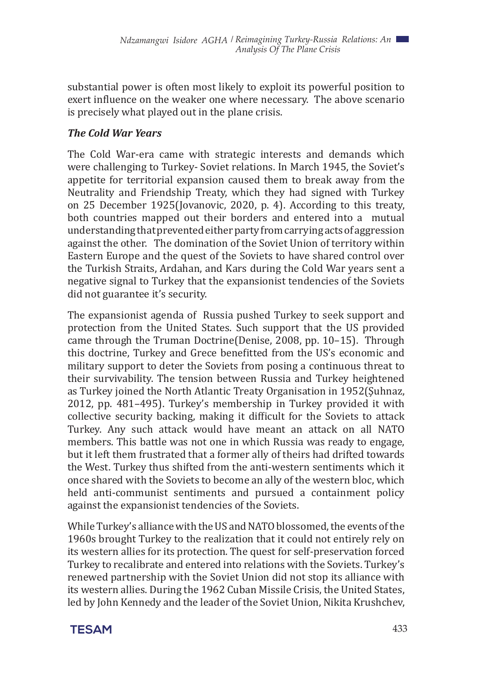substantial power is often most likely to exploit its powerful position to exert influence on the weaker one where necessary. The above scenario is precisely what played out in the plane crisis.

#### *The Cold War Years*

The Cold War-era came with strategic interests and demands which were challenging to Turkey- Soviet relations. In March 1945, the Soviet's appetite for territorial expansion caused them to break away from the Neutrality and Friendship Treaty, which they had signed with Turkey on 25 December 1925(Jovanovic, 2020, p. 4). According to this treaty, both countries mapped out their borders and entered into a mutual understanding that prevented either party from carrying acts of aggression against the other. The domination of the Soviet Union of territory within Eastern Europe and the quest of the Soviets to have shared control over the Turkish Straits, Ardahan, and Kars during the Cold War years sent a negative signal to Turkey that the expansionist tendencies of the Soviets did not guarantee it's security.

The expansionist agenda of Russia pushed Turkey to seek support and protection from the United States. Such support that the US provided came through the Truman Doctrine(Denise, 2008, pp. 10–15). Through this doctrine, Turkey and Grece benefitted from the US's economic and military support to deter the Soviets from posing a continuous threat to their survivability. The tension between Russia and Turkey heightened as Turkey joined the North Atlantic Treaty Organisation in 1952(Şuhnaz, 2012, pp. 481–495). Turkey's membership in Turkey provided it with collective security backing, making it difficult for the Soviets to attack Turkey. Any such attack would have meant an attack on all NATO members. This battle was not one in which Russia was ready to engage, but it left them frustrated that a former ally of theirs had drifted towards the West. Turkey thus shifted from the anti-western sentiments which it once shared with the Soviets to become an ally of the western bloc, which held anti-communist sentiments and pursued a containment policy against the expansionist tendencies of the Soviets.

While Turkey's alliance with the US and NATO blossomed, the events of the 1960s brought Turkey to the realization that it could not entirely rely on its western allies for its protection. The quest for self-preservation forced Turkey to recalibrate and entered into relations with the Soviets. Turkey's renewed partnership with the Soviet Union did not stop its alliance with its western allies. During the 1962 Cuban Missile Crisis, the United States, led by John Kennedy and the leader of the Soviet Union, Nikita Krushchev,

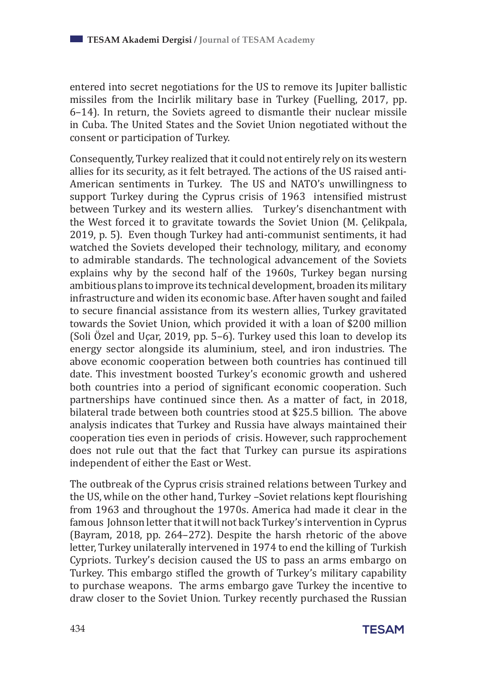entered into secret negotiations for the US to remove its Jupiter ballistic missiles from the Incirlik military base in Turkey (Fuelling, 2017, pp. 6–14). In return, the Soviets agreed to dismantle their nuclear missile in Cuba. The United States and the Soviet Union negotiated without the consent or participation of Turkey.

Consequently, Turkey realized that it could not entirely rely on its western allies for its security, as it felt betrayed. The actions of the US raised anti-American sentiments in Turkey. The US and NATO's unwillingness to support Turkey during the Cyprus crisis of 1963 intensified mistrust between Turkey and its western allies. Turkey's disenchantment with the West forced it to gravitate towards the Soviet Union (M. Çelikpala, 2019, p. 5). Even though Turkey had anti-communist sentiments, it had watched the Soviets developed their technology, military, and economy to admirable standards. The technological advancement of the Soviets explains why by the second half of the 1960s, Turkey began nursing ambitious plans to improve its technical development, broaden its military infrastructure and widen its economic base. After haven sought and failed to secure financial assistance from its western allies, Turkey gravitated towards the Soviet Union, which provided it with a loan of \$200 million (Soli Özel and Uçar, 2019, pp. 5–6). Turkey used this loan to develop its energy sector alongside its aluminium, steel, and iron industries. The above economic cooperation between both countries has continued till date. This investment boosted Turkey's economic growth and ushered both countries into a period of significant economic cooperation. Such partnerships have continued since then. As a matter of fact, in 2018, bilateral trade between both countries stood at \$25.5 billion. The above analysis indicates that Turkey and Russia have always maintained their cooperation ties even in periods of crisis. However, such rapprochement does not rule out that the fact that Turkey can pursue its aspirations independent of either the East or West.

The outbreak of the Cyprus crisis strained relations between Turkey and the US, while on the other hand, Turkey –Soviet relations kept flourishing from 1963 and throughout the 1970s. America had made it clear in the famous Johnson letter that it will not back Turkey's intervention in Cyprus (Bayram, 2018, pp. 264–272). Despite the harsh rhetoric of the above letter, Turkey unilaterally intervened in 1974 to end the killing of Turkish Cypriots. Turkey's decision caused the US to pass an arms embargo on Turkey. This embargo stifled the growth of Turkey's military capability to purchase weapons. The arms embargo gave Turkey the incentive to draw closer to the Soviet Union. Turkey recently purchased the Russian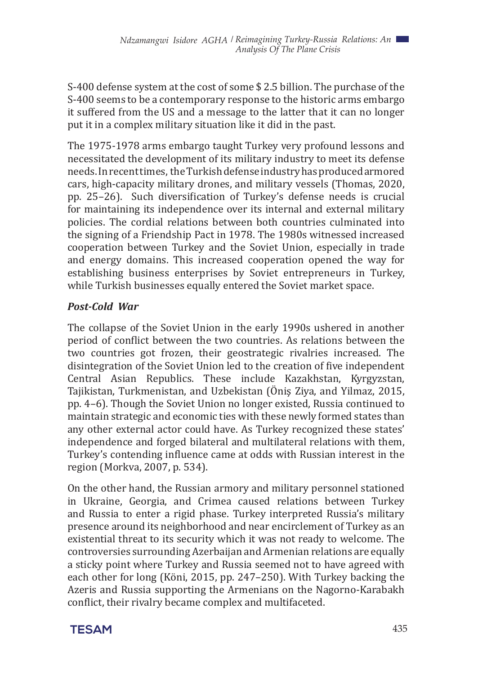S-400 defense system at the cost of some \$ 2.5 billion. The purchase of the S-400 seems to be a contemporary response to the historic arms embargo it suffered from the US and a message to the latter that it can no longer put it in a complex military situation like it did in the past.

The 1975-1978 arms embargo taught Turkey very profound lessons and necessitated the development of its military industry to meet its defense needs. In recent times, the Turkish defense industry has produced armored cars, high-capacity military drones, and military vessels (Thomas, 2020, pp. 25–26). Such diversification of Turkey's defense needs is crucial for maintaining its independence over its internal and external military policies. The cordial relations between both countries culminated into the signing of a Friendship Pact in 1978. The 1980s witnessed increased cooperation between Turkey and the Soviet Union, especially in trade and energy domains. This increased cooperation opened the way for establishing business enterprises by Soviet entrepreneurs in Turkey, while Turkish businesses equally entered the Soviet market space.

### *Post-Cold War*

The collapse of the Soviet Union in the early 1990s ushered in another period of conflict between the two countries. As relations between the two countries got frozen, their geostrategic rivalries increased. The disintegration of the Soviet Union led to the creation of five independent Central Asian Republics. These include Kazakhstan, Kyrgyzstan, Tajikistan, Turkmenistan, and Uzbekistan (Öniş Ziya, and Yilmaz, 2015, pp. 4–6). Though the Soviet Union no longer existed, Russia continued to maintain strategic and economic ties with these newly formed states than any other external actor could have. As Turkey recognized these states' independence and forged bilateral and multilateral relations with them, Turkey's contending influence came at odds with Russian interest in the region (Morkva, 2007, p. 534).

On the other hand, the Russian armory and military personnel stationed in Ukraine, Georgia, and Crimea caused relations between Turkey and Russia to enter a rigid phase. Turkey interpreted Russia's military presence around its neighborhood and near encirclement of Turkey as an existential threat to its security which it was not ready to welcome. The controversies surrounding Azerbaijan and Armenian relations are equally a sticky point where Turkey and Russia seemed not to have agreed with each other for long (Köni, 2015, pp. 247–250). With Turkey backing the Azeris and Russia supporting the Armenians on the Nagorno-Karabakh conflict, their rivalry became complex and multifaceted.

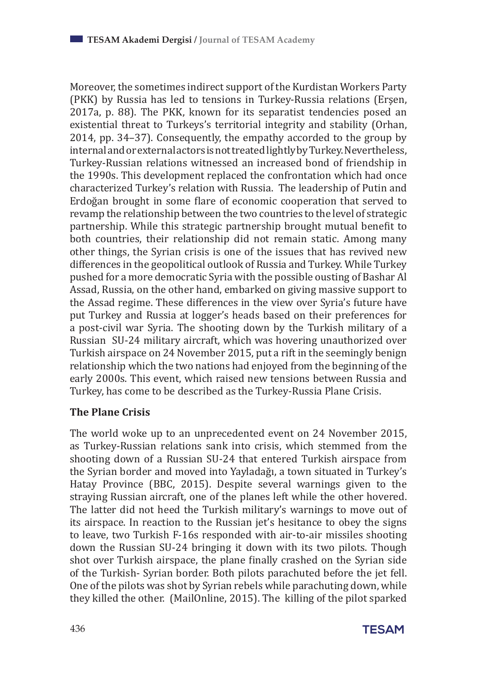Moreover, the sometimes indirect support of the Kurdistan Workers Party (PKK) by Russia has led to tensions in Turkey-Russia relations (Erşen, 2017a, p. 88). The PKK, known for its separatist tendencies posed an existential threat to Turkeys's territorial integrity and stability (Orhan, 2014, pp. 34–37). Consequently, the empathy accorded to the group by internal and or external actors is not treated lightly by Turkey. Nevertheless, Turkey-Russian relations witnessed an increased bond of friendship in the 1990s. This development replaced the confrontation which had once characterized Turkey's relation with Russia. The leadership of Putin and Erdoğan brought in some flare of economic cooperation that served to revamp the relationship between the two countries to the level of strategic partnership. While this strategic partnership brought mutual benefit to both countries, their relationship did not remain static. Among many other things, the Syrian crisis is one of the issues that has revived new differences in the geopolitical outlook of Russia and Turkey. While Turkey pushed for a more democratic Syria with the possible ousting of Bashar Al Assad, Russia, on the other hand, embarked on giving massive support to the Assad regime. These differences in the view over Syria's future have put Turkey and Russia at logger's heads based on their preferences for a post-civil war Syria. The shooting down by the Turkish military of a Russian SU-24 military aircraft, which was hovering unauthorized over Turkish airspace on 24 November 2015, put a rift in the seemingly benign relationship which the two nations had enjoyed from the beginning of the early 2000s. This event, which raised new tensions between Russia and Turkey, has come to be described as the Turkey-Russia Plane Crisis.

#### **The Plane Crisis**

The world woke up to an unprecedented event on 24 November 2015, as Turkey-Russian relations sank into crisis, which stemmed from the shooting down of a Russian SU-24 that entered Turkish airspace from the Syrian border and moved into Yayladağı, a town situated in Turkey's Hatay Province (BBC, 2015). Despite several warnings given to the straying Russian aircraft, one of the planes left while the other hovered. The latter did not heed the Turkish military's warnings to move out of its airspace. In reaction to the Russian jet's hesitance to obey the signs to leave, two Turkish F-16s responded with air-to-air missiles shooting down the Russian SU-24 bringing it down with its two pilots. Though shot over Turkish airspace, the plane finally crashed on the Syrian side of the Turkish- Syrian border. Both pilots parachuted before the jet fell. One of the pilots was shot by Syrian rebels while parachuting down, while they killed the other. (MailOnline, 2015). The killing of the pilot sparked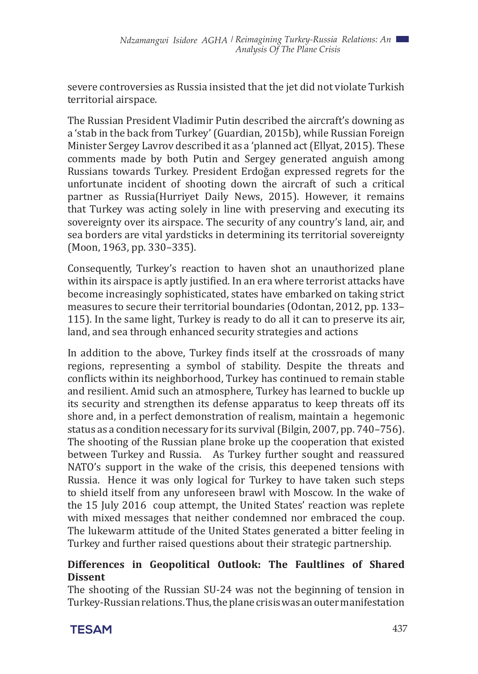severe controversies as Russia insisted that the jet did not violate Turkish territorial airspace.

The Russian President Vladimir Putin described the aircraft's downing as a 'stab in the back from Turkey' (Guardian, 2015b), while Russian Foreign Minister Sergey Lavrov described it as a 'planned act (Ellyat, 2015). These comments made by both Putin and Sergey generated anguish among Russians towards Turkey. President Erdoğan expressed regrets for the unfortunate incident of shooting down the aircraft of such a critical partner as Russia(Hurriyet Daily News, 2015). However, it remains that Turkey was acting solely in line with preserving and executing its sovereignty over its airspace. The security of any country's land, air, and sea borders are vital yardsticks in determining its territorial sovereignty (Moon, 1963, pp. 330–335).

Consequently, Turkey's reaction to haven shot an unauthorized plane within its airspace is aptly justified. In an era where terrorist attacks have become increasingly sophisticated, states have embarked on taking strict measures to secure their territorial boundaries (Odontan, 2012, pp. 133– 115). In the same light, Turkey is ready to do all it can to preserve its air, land, and sea through enhanced security strategies and actions

In addition to the above, Turkey finds itself at the crossroads of many regions, representing a symbol of stability. Despite the threats and conflicts within its neighborhood, Turkey has continued to remain stable and resilient. Amid such an atmosphere, Turkey has learned to buckle up its security and strengthen its defense apparatus to keep threats off its shore and, in a perfect demonstration of realism, maintain a hegemonic status as a condition necessary for its survival (Bilgin, 2007, pp. 740–756). The shooting of the Russian plane broke up the cooperation that existed between Turkey and Russia. As Turkey further sought and reassured NATO's support in the wake of the crisis, this deepened tensions with Russia. Hence it was only logical for Turkey to have taken such steps to shield itself from any unforeseen brawl with Moscow. In the wake of the 15 July 2016 coup attempt, the United States' reaction was replete with mixed messages that neither condemned nor embraced the coup. The lukewarm attitude of the United States generated a bitter feeling in Turkey and further raised questions about their strategic partnership.

#### **Differences in Geopolitical Outlook: The Faultlines of Shared Dissent**

The shooting of the Russian SU-24 was not the beginning of tension in Turkey-Russian relations. Thus, the plane crisis was an outer manifestation

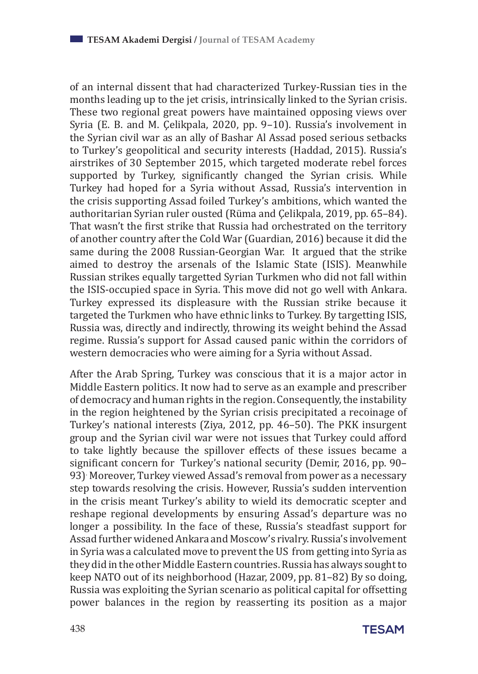of an internal dissent that had characterized Turkey-Russian ties in the months leading up to the jet crisis, intrinsically linked to the Syrian crisis. These two regional great powers have maintained opposing views over Syria (E. B. and M. Çelikpala, 2020, pp. 9–10). Russia's involvement in the Syrian civil war as an ally of Bashar Al Assad posed serious setbacks to Turkey's geopolitical and security interests (Haddad, 2015). Russia's airstrikes of 30 September 2015, which targeted moderate rebel forces supported by Turkey, significantly changed the Syrian crisis. While Turkey had hoped for a Syria without Assad, Russia's intervention in the crisis supporting Assad foiled Turkey's ambitions, which wanted the authoritarian Syrian ruler ousted (Rüma and Çelikpala, 2019, pp. 65–84). That wasn't the first strike that Russia had orchestrated on the territory of another country after the Cold War (Guardian, 2016) because it did the same during the 2008 Russian-Georgian War. It argued that the strike aimed to destroy the arsenals of the Islamic State (ISIS). Meanwhile Russian strikes equally targetted Syrian Turkmen who did not fall within the ISIS-occupied space in Syria. This move did not go well with Ankara. Turkey expressed its displeasure with the Russian strike because it targeted the Turkmen who have ethnic links to Turkey. By targetting ISIS, Russia was, directly and indirectly, throwing its weight behind the Assad regime. Russia's support for Assad caused panic within the corridors of western democracies who were aiming for a Syria without Assad.

After the Arab Spring, Turkey was conscious that it is a major actor in Middle Eastern politics. It now had to serve as an example and prescriber of democracy and human rights in the region. Consequently, the instability in the region heightened by the Syrian crisis precipitated a recoinage of Turkey's national interests (Ziya, 2012, pp. 46–50). The PKK insurgent group and the Syrian civil war were not issues that Turkey could afford to take lightly because the spillover effects of these issues became a significant concern for Turkey's national security (Demir, 2016, pp. 90– 93). Moreover, Turkey viewed Assad's removal from power as a necessary step towards resolving the crisis. However, Russia's sudden intervention in the crisis meant Turkey's ability to wield its democratic scepter and reshape regional developments by ensuring Assad's departure was no longer a possibility. In the face of these, Russia's steadfast support for Assad further widened Ankara and Moscow's rivalry. Russia's involvement in Syria was a calculated move to prevent the US from getting into Syria as they did in the other Middle Eastern countries. Russia has always sought to keep NATO out of its neighborhood (Hazar, 2009, pp. 81–82) By so doing, Russia was exploiting the Syrian scenario as political capital for offsetting power balances in the region by reasserting its position as a major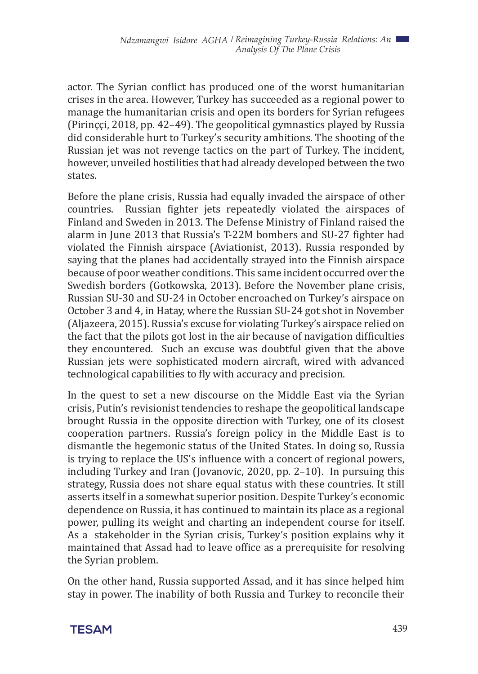actor. The Syrian conflict has produced one of the worst humanitarian crises in the area. However, Turkey has succeeded as a regional power to manage the humanitarian crisis and open its borders for Syrian refugees (Pirinççi, 2018, pp. 42–49). The geopolitical gymnastics played by Russia did considerable hurt to Turkey's security ambitions. The shooting of the Russian jet was not revenge tactics on the part of Turkey. The incident, however, unveiled hostilities that had already developed between the two states.

Before the plane crisis, Russia had equally invaded the airspace of other countries. Russian fighter jets repeatedly violated the airspaces of Russian fighter jets repeatedly violated the airspaces of Finland and Sweden in 2013. The Defense Ministry of Finland raised the alarm in June 2013 that Russia's T-22M bombers and SU-27 fighter had violated the Finnish airspace (Aviationist, 2013). Russia responded by saying that the planes had accidentally strayed into the Finnish airspace because of poor weather conditions. This same incident occurred over the Swedish borders (Gotkowska, 2013). Before the November plane crisis, Russian SU-30 and SU-24 in October encroached on Turkey's airspace on October 3 and 4, in Hatay, where the Russian SU-24 got shot in November (Aljazeera, 2015). Russia's excuse for violating Turkey's airspace relied on the fact that the pilots got lost in the air because of navigation difficulties they encountered. Such an excuse was doubtful given that the above Russian jets were sophisticated modern aircraft, wired with advanced technological capabilities to fly with accuracy and precision.

In the quest to set a new discourse on the Middle East via the Syrian crisis, Putin's revisionist tendencies to reshape the geopolitical landscape brought Russia in the opposite direction with Turkey, one of its closest cooperation partners. Russia's foreign policy in the Middle East is to dismantle the hegemonic status of the United States. In doing so, Russia is trying to replace the US's influence with a concert of regional powers, including Turkey and Iran (Jovanovic, 2020, pp. 2–10). In pursuing this strategy, Russia does not share equal status with these countries. It still asserts itself in a somewhat superior position. Despite Turkey's economic dependence on Russia, it has continued to maintain its place as a regional power, pulling its weight and charting an independent course for itself. As a stakeholder in the Syrian crisis, Turkey's position explains why it maintained that Assad had to leave office as a prerequisite for resolving the Syrian problem.

On the other hand, Russia supported Assad, and it has since helped him stay in power. The inability of both Russia and Turkey to reconcile their

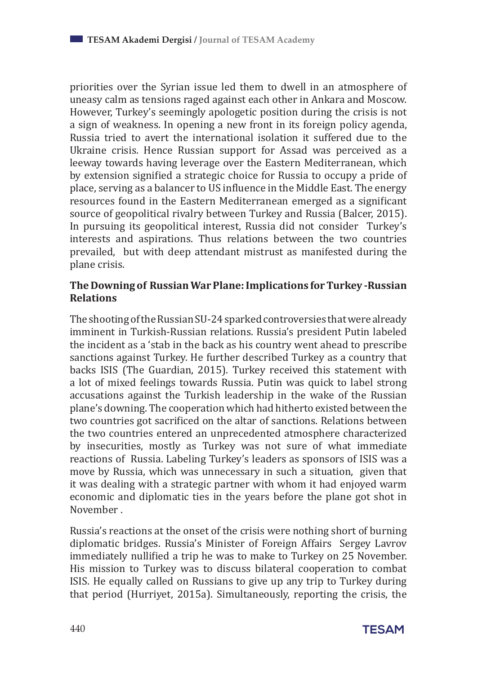priorities over the Syrian issue led them to dwell in an atmosphere of uneasy calm as tensions raged against each other in Ankara and Moscow. However, Turkey's seemingly apologetic position during the crisis is not a sign of weakness. In opening a new front in its foreign policy agenda, Russia tried to avert the international isolation it suffered due to the Ukraine crisis. Hence Russian support for Assad was perceived as a leeway towards having leverage over the Eastern Mediterranean, which by extension signified a strategic choice for Russia to occupy a pride of place, serving as a balancer to US influence in the Middle East. The energy resources found in the Eastern Mediterranean emerged as a significant source of geopolitical rivalry between Turkey and Russia (Balcer, 2015). In pursuing its geopolitical interest, Russia did not consider Turkey's interests and aspirations. Thus relations between the two countries prevailed, but with deep attendant mistrust as manifested during the plane crisis.

#### **The Downing of Russian War Plane: Implications for Turkey -Russian Relations**

The shooting of the Russian SU-24 sparked controversies that were already imminent in Turkish-Russian relations. Russia's president Putin labeled the incident as a 'stab in the back as his country went ahead to prescribe sanctions against Turkey. He further described Turkey as a country that backs ISIS (The Guardian, 2015). Turkey received this statement with a lot of mixed feelings towards Russia. Putin was quick to label strong accusations against the Turkish leadership in the wake of the Russian plane's downing. The cooperation which had hitherto existed between the two countries got sacrificed on the altar of sanctions. Relations between the two countries entered an unprecedented atmosphere characterized by insecurities, mostly as Turkey was not sure of what immediate reactions of Russia. Labeling Turkey's leaders as sponsors of ISIS was a move by Russia, which was unnecessary in such a situation, given that it was dealing with a strategic partner with whom it had enjoyed warm economic and diplomatic ties in the years before the plane got shot in November .

Russia's reactions at the onset of the crisis were nothing short of burning diplomatic bridges. Russia's Minister of Foreign Affairs Sergey Lavrov immediately nullified a trip he was to make to Turkey on 25 November. His mission to Turkey was to discuss bilateral cooperation to combat ISIS. He equally called on Russians to give up any trip to Turkey during that period (Hurriyet, 2015a). Simultaneously, reporting the crisis, the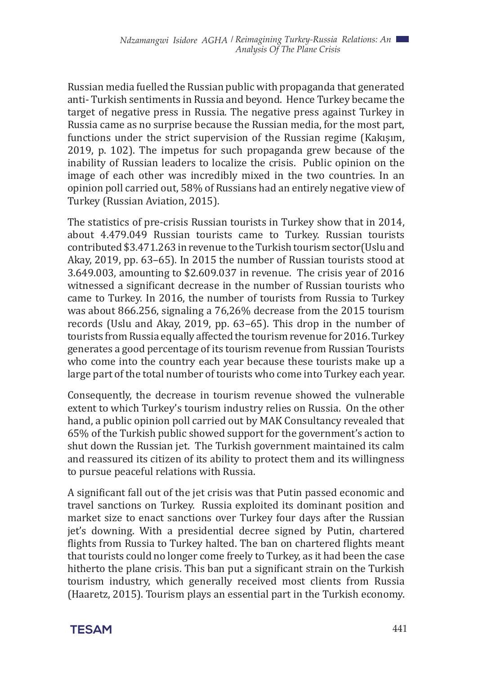Russian media fuelled the Russian public with propaganda that generated anti- Turkish sentiments in Russia and beyond. Hence Turkey became the target of negative press in Russia. The negative press against Turkey in Russia came as no surprise because the Russian media, for the most part, functions under the strict supervision of the Russian regime (Kakışım, 2019, p. 102). The impetus for such propaganda grew because of the inability of Russian leaders to localize the crisis. Public opinion on the image of each other was incredibly mixed in the two countries. In an opinion poll carried out, 58% of Russians had an entirely negative view of Turkey (Russian Aviation, 2015).

The statistics of pre-crisis Russian tourists in Turkey show that in 2014, about 4.479.049 Russian tourists came to Turkey. Russian tourists contributed \$3.471.263 in revenue to the Turkish tourism sector(Uslu and Akay, 2019, pp. 63–65). In 2015 the number of Russian tourists stood at 3.649.003, amounting to \$2.609.037 in revenue. The crisis year of 2016 witnessed a significant decrease in the number of Russian tourists who came to Turkey. In 2016, the number of tourists from Russia to Turkey was about 866.256, signaling a 76,26% decrease from the 2015 tourism records (Uslu and Akay, 2019, pp. 63–65). This drop in the number of tourists from Russia equally affected the tourism revenue for 2016. Turkey generates a good percentage of its tourism revenue from Russian Tourists who come into the country each year because these tourists make up a large part of the total number of tourists who come into Turkey each year.

Consequently, the decrease in tourism revenue showed the vulnerable extent to which Turkey's tourism industry relies on Russia. On the other hand, a public opinion poll carried out by MAK Consultancy revealed that 65% of the Turkish public showed support for the government's action to shut down the Russian jet. The Turkish government maintained its calm and reassured its citizen of its ability to protect them and its willingness to pursue peaceful relations with Russia.

A significant fall out of the jet crisis was that Putin passed economic and travel sanctions on Turkey. Russia exploited its dominant position and market size to enact sanctions over Turkey four days after the Russian jet's downing. With a presidential decree signed by Putin, chartered flights from Russia to Turkey halted. The ban on chartered flights meant that tourists could no longer come freely to Turkey, as it had been the case hitherto the plane crisis. This ban put a significant strain on the Turkish tourism industry, which generally received most clients from Russia (Haaretz, 2015). Tourism plays an essential part in the Turkish economy.

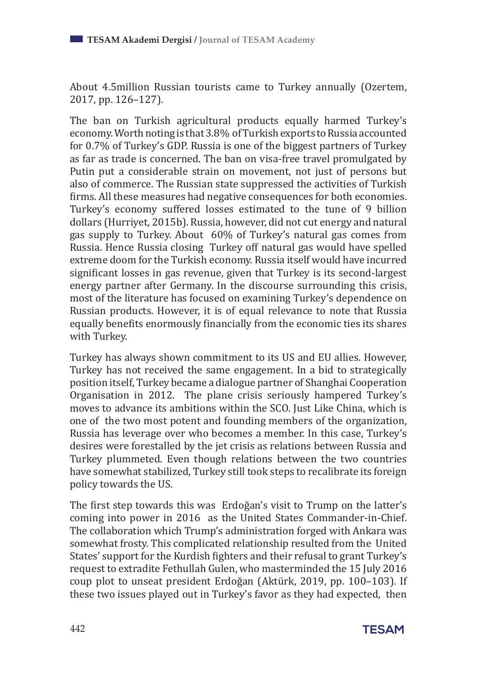About 4.5million Russian tourists came to Turkey annually (Ozertem, 2017, pp. 126–127).

The ban on Turkish agricultural products equally harmed Turkey's economy. Worth noting is that 3.8% of Turkish exports to Russia accounted for 0.7% of Turkey's GDP. Russia is one of the biggest partners of Turkey as far as trade is concerned. The ban on visa-free travel promulgated by Putin put a considerable strain on movement, not just of persons but also of commerce. The Russian state suppressed the activities of Turkish firms. All these measures had negative consequences for both economies. Turkey's economy suffered losses estimated to the tune of 9 billion dollars (Hurriyet, 2015b). Russia, however, did not cut energy and natural gas supply to Turkey. About 60% of Turkey's natural gas comes from Russia. Hence Russia closing Turkey off natural gas would have spelled extreme doom for the Turkish economy. Russia itself would have incurred significant losses in gas revenue, given that Turkey is its second-largest energy partner after Germany. In the discourse surrounding this crisis, most of the literature has focused on examining Turkey's dependence on Russian products. However, it is of equal relevance to note that Russia equally benefits enormously financially from the economic ties its shares with Turkey.

Turkey has always shown commitment to its US and EU allies. However, Turkey has not received the same engagement. In a bid to strategically position itself, Turkey became a dialogue partner of Shanghai Cooperation Organisation in 2012. The plane crisis seriously hampered Turkey's moves to advance its ambitions within the SCO. Just Like China, which is one of the two most potent and founding members of the organization, Russia has leverage over who becomes a member. In this case, Turkey's desires were forestalled by the jet crisis as relations between Russia and Turkey plummeted. Even though relations between the two countries have somewhat stabilized, Turkey still took steps to recalibrate its foreign policy towards the US.

The first step towards this was Erdoğan's visit to Trump on the latter's coming into power in 2016 as the United States Commander-in-Chief. The collaboration which Trump's administration forged with Ankara was somewhat frosty. This complicated relationship resulted from the United States' support for the Kurdish fighters and their refusal to grant Turkey's request to extradite Fethullah Gulen, who masterminded the 15 July 2016 coup plot to unseat president Erdoğan (Aktürk, 2019, pp. 100–103). If these two issues played out in Turkey's favor as they had expected, then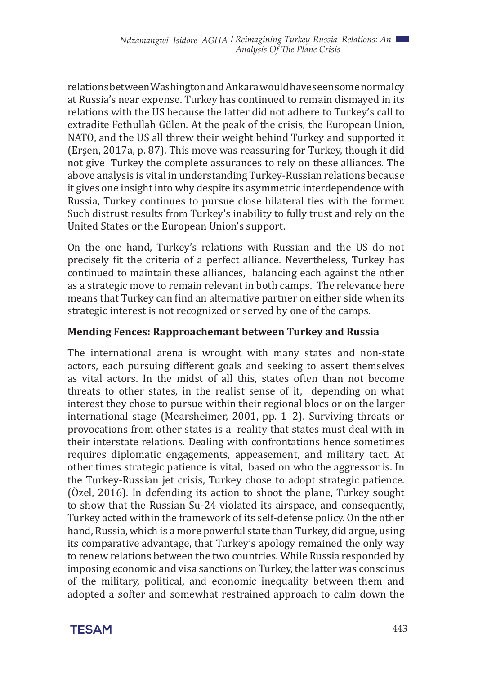relations between Washington and Ankara would have seen some normalcy at Russia's near expense. Turkey has continued to remain dismayed in its relations with the US because the latter did not adhere to Turkey's call to extradite Fethullah Gülen. At the peak of the crisis, the European Union, NATO, and the US all threw their weight behind Turkey and supported it (Erşen, 2017a, p. 87). This move was reassuring for Turkey, though it did not give Turkey the complete assurances to rely on these alliances. The above analysis is vital in understanding Turkey-Russian relations because it gives one insight into why despite its asymmetric interdependence with Russia, Turkey continues to pursue close bilateral ties with the former. Such distrust results from Turkey's inability to fully trust and rely on the United States or the European Union's support.

On the one hand, Turkey's relations with Russian and the US do not precisely fit the criteria of a perfect alliance. Nevertheless, Turkey has continued to maintain these alliances, balancing each against the other as a strategic move to remain relevant in both camps. The relevance here means that Turkey can find an alternative partner on either side when its strategic interest is not recognized or served by one of the camps.

#### **Mending Fences: Rapproachemant between Turkey and Russia**

The international arena is wrought with many states and non-state actors, each pursuing different goals and seeking to assert themselves as vital actors. In the midst of all this, states often than not become threats to other states, in the realist sense of it, depending on what interest they chose to pursue within their regional blocs or on the larger international stage (Mearsheimer, 2001, pp. 1–2). Surviving threats or provocations from other states is a reality that states must deal with in their interstate relations. Dealing with confrontations hence sometimes requires diplomatic engagements, appeasement, and military tact. At other times strategic patience is vital, based on who the aggressor is. In the Turkey-Russian jet crisis, Turkey chose to adopt strategic patience. (Özel, 2016). In defending its action to shoot the plane, Turkey sought to show that the Russian Su-24 violated its airspace, and consequently, Turkey acted within the framework of its self-defense policy. On the other hand, Russia, which is a more powerful state than Turkey, did argue, using its comparative advantage, that Turkey's apology remained the only way to renew relations between the two countries. While Russia responded by imposing economic and visa sanctions on Turkey, the latter was conscious of the military, political, and economic inequality between them and adopted a softer and somewhat restrained approach to calm down the

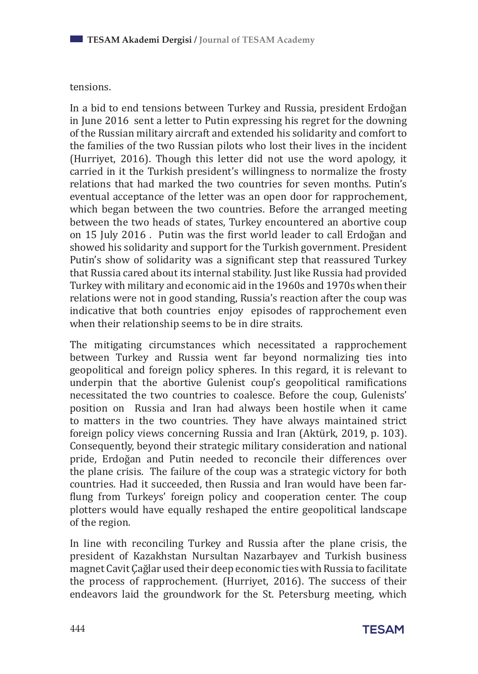#### tensions.

In a bid to end tensions between Turkey and Russia, president Erdoğan in June 2016 sent a letter to Putin expressing his regret for the downing of the Russian military aircraft and extended his solidarity and comfort to the families of the two Russian pilots who lost their lives in the incident (Hurriyet, 2016). Though this letter did not use the word apology, it carried in it the Turkish president's willingness to normalize the frosty relations that had marked the two countries for seven months. Putin's eventual acceptance of the letter was an open door for rapprochement, which began between the two countries. Before the arranged meeting between the two heads of states, Turkey encountered an abortive coup on 15 July 2016 . Putin was the first world leader to call Erdoğan and showed his solidarity and support for the Turkish government. President Putin's show of solidarity was a significant step that reassured Turkey that Russia cared about its internal stability. Just like Russia had provided Turkey with military and economic aid in the 1960s and 1970s when their relations were not in good standing, Russia's reaction after the coup was indicative that both countries enjoy episodes of rapprochement even when their relationship seems to be in dire straits.

The mitigating circumstances which necessitated a rapprochement between Turkey and Russia went far beyond normalizing ties into geopolitical and foreign policy spheres. In this regard, it is relevant to underpin that the abortive Gulenist coup's geopolitical ramifications necessitated the two countries to coalesce. Before the coup, Gulenists' position on Russia and Iran had always been hostile when it came to matters in the two countries. They have always maintained strict foreign policy views concerning Russia and Iran (Aktürk, 2019, p. 103). Consequently, beyond their strategic military consideration and national pride, Erdoğan and Putin needed to reconcile their differences over the plane crisis. The failure of the coup was a strategic victory for both countries. Had it succeeded, then Russia and Iran would have been farflung from Turkeys' foreign policy and cooperation center. The coup plotters would have equally reshaped the entire geopolitical landscape of the region.

In line with reconciling Turkey and Russia after the plane crisis, the president of Kazakhstan Nursultan Nazarbayev and Turkish business magnet Cavit Çağlar used their deep economic ties with Russia to facilitate the process of rapprochement. (Hurriyet, 2016). The success of their endeavors laid the groundwork for the St. Petersburg meeting, which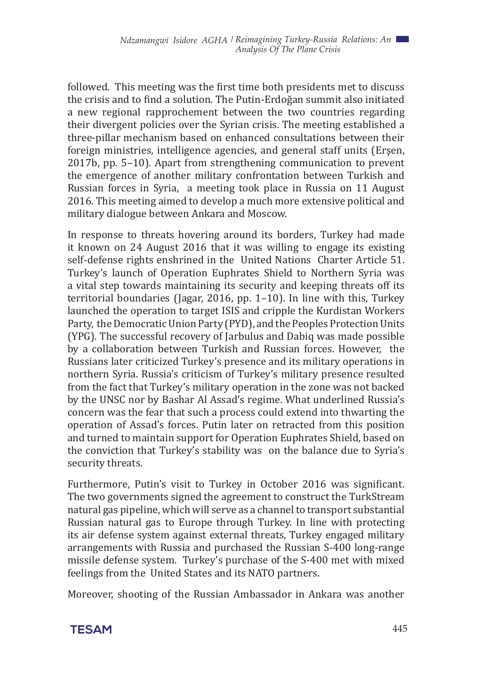followed. This meeting was the first time both presidents met to discuss the crisis and to find a solution. The Putin-Erdoğan summit also initiated a new regional rapprochement between the two countries regarding their divergent policies over the Syrian crisis. The meeting established a three-pillar mechanism based on enhanced consultations between their foreign ministries, intelligence agencies, and general staff units (Erşen, 2017b, pp. 5–10). Apart from strengthening communication to prevent the emergence of another military confrontation between Turkish and Russian forces in Syria, a meeting took place in Russia on 11 August 2016. This meeting aimed to develop a much more extensive political and military dialogue between Ankara and Moscow.

In response to threats hovering around its borders, Turkey had made it known on 24 August 2016 that it was willing to engage its existing self-defense rights enshrined in the United Nations Charter Article 51. Turkey's launch of Operation Euphrates Shield to Northern Syria was a vital step towards maintaining its security and keeping threats off its territorial boundaries (Jagar, 2016, pp. 1–10). In line with this, Turkey launched the operation to target ISIS and cripple the Kurdistan Workers Party, the Democratic Union Party (PYD), and the Peoples Protection Units (YPG). The successful recovery of Jarbulus and Dabiq was made possible by a collaboration between Turkish and Russian forces. However, the Russians later criticized Turkey's presence and its military operations in northern Syria. Russia's criticism of Turkey's military presence resulted from the fact that Turkey's military operation in the zone was not backed by the UNSC nor by Bashar Al Assad's regime. What underlined Russia's concern was the fear that such a process could extend into thwarting the operation of Assad's forces. Putin later on retracted from this position and turned to maintain support for Operation Euphrates Shield, based on the conviction that Turkey's stability was on the balance due to Syria's security threats.

Furthermore, Putin's visit to Turkey in October 2016 was significant. The two governments signed the agreement to construct the TurkStream natural gas pipeline, which will serve as a channel to transport substantial Russian natural gas to Europe through Turkey. In line with protecting its air defense system against external threats, Turkey engaged military arrangements with Russia and purchased the Russian S-400 long-range missile defense system. Turkey's purchase of the S-400 met with mixed feelings from the United States and its NATO partners.

Moreover, shooting of the Russian Ambassador in Ankara was another

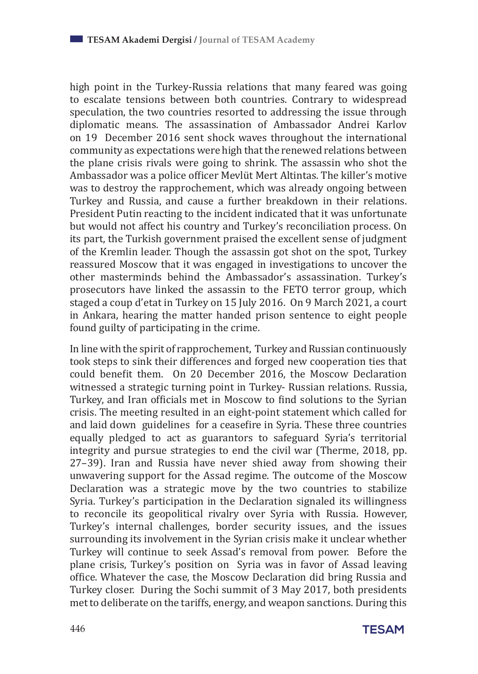high point in the Turkey-Russia relations that many feared was going to escalate tensions between both countries. Contrary to widespread speculation, the two countries resorted to addressing the issue through diplomatic means. The assassination of Ambassador Andrei Karlov on 19 December 2016 sent shock waves throughout the international community as expectations were high that the renewed relations between the plane crisis rivals were going to shrink. The assassin who shot the Ambassador was a police officer Mevlüt Mert Altintas. The killer's motive was to destroy the rapprochement, which was already ongoing between Turkey and Russia, and cause a further breakdown in their relations. President Putin reacting to the incident indicated that it was unfortunate but would not affect his country and Turkey's reconciliation process. On its part, the Turkish government praised the excellent sense of judgment of the Kremlin leader. Though the assassin got shot on the spot, Turkey reassured Moscow that it was engaged in investigations to uncover the other masterminds behind the Ambassador's assassination. Turkey's prosecutors have linked the assassin to the FETO terror group, which staged a coup d'etat in Turkey on 15 July 2016. On 9 March 2021, a court in Ankara, hearing the matter handed prison sentence to eight people found guilty of participating in the crime.

In line with the spirit of rapprochement, Turkey and Russian continuously took steps to sink their differences and forged new cooperation ties that could benefit them. On 20 December 2016, the Moscow Declaration witnessed a strategic turning point in Turkey- Russian relations. Russia, Turkey, and Iran officials met in Moscow to find solutions to the Syrian crisis. The meeting resulted in an eight-point statement which called for and laid down guidelines for a ceasefire in Syria. These three countries equally pledged to act as guarantors to safeguard Syria's territorial integrity and pursue strategies to end the civil war (Therme, 2018, pp. 27–39). Iran and Russia have never shied away from showing their unwavering support for the Assad regime. The outcome of the Moscow Declaration was a strategic move by the two countries to stabilize Syria. Turkey's participation in the Declaration signaled its willingness to reconcile its geopolitical rivalry over Syria with Russia. However, Turkey's internal challenges, border security issues, and the issues surrounding its involvement in the Syrian crisis make it unclear whether Turkey will continue to seek Assad's removal from power. Before the plane crisis, Turkey's position on Syria was in favor of Assad leaving office. Whatever the case, the Moscow Declaration did bring Russia and Turkey closer. During the Sochi summit of 3 May 2017, both presidents met to deliberate on the tariffs, energy, and weapon sanctions. During this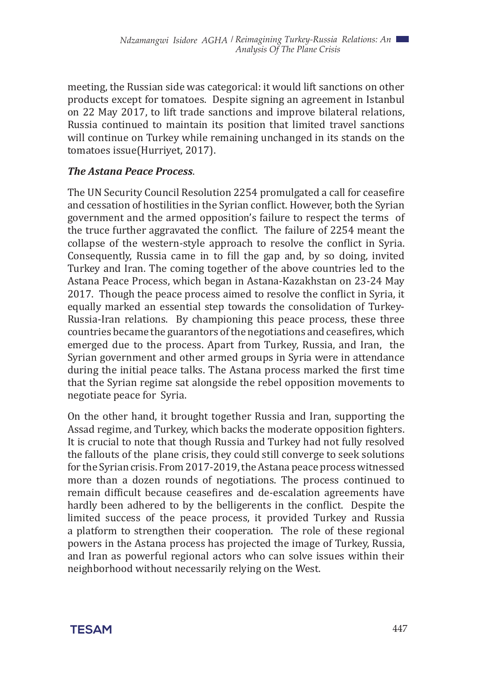meeting, the Russian side was categorical: it would lift sanctions on other products except for tomatoes. Despite signing an agreement in Istanbul on 22 May 2017, to lift trade sanctions and improve bilateral relations, Russia continued to maintain its position that limited travel sanctions will continue on Turkey while remaining unchanged in its stands on the tomatoes issue(Hurriyet, 2017).

#### *The Astana Peace Process*.

The UN Security Council Resolution 2254 promulgated a call for ceasefire and cessation of hostilities in the Syrian conflict. However, both the Syrian government and the armed opposition's failure to respect the terms of the truce further aggravated the conflict. The failure of 2254 meant the collapse of the western-style approach to resolve the conflict in Syria. Consequently, Russia came in to fill the gap and, by so doing, invited Turkey and Iran. The coming together of the above countries led to the Astana Peace Process, which began in Astana-Kazakhstan on 23-24 May 2017. Though the peace process aimed to resolve the conflict in Syria, it equally marked an essential step towards the consolidation of Turkey-Russia-Iran relations. By championing this peace process, these three countries became the guarantors of the negotiations and ceasefires, which emerged due to the process. Apart from Turkey, Russia, and Iran, the Syrian government and other armed groups in Syria were in attendance during the initial peace talks. The Astana process marked the first time that the Syrian regime sat alongside the rebel opposition movements to negotiate peace for Syria.

On the other hand, it brought together Russia and Iran, supporting the Assad regime, and Turkey, which backs the moderate opposition fighters. It is crucial to note that though Russia and Turkey had not fully resolved the fallouts of the plane crisis, they could still converge to seek solutions for the Syrian crisis. From 2017-2019, the Astana peace process witnessed more than a dozen rounds of negotiations. The process continued to remain difficult because ceasefires and de-escalation agreements have hardly been adhered to by the belligerents in the conflict. Despite the limited success of the peace process, it provided Turkey and Russia a platform to strengthen their cooperation. The role of these regional powers in the Astana process has projected the image of Turkey, Russia, and Iran as powerful regional actors who can solve issues within their neighborhood without necessarily relying on the West.

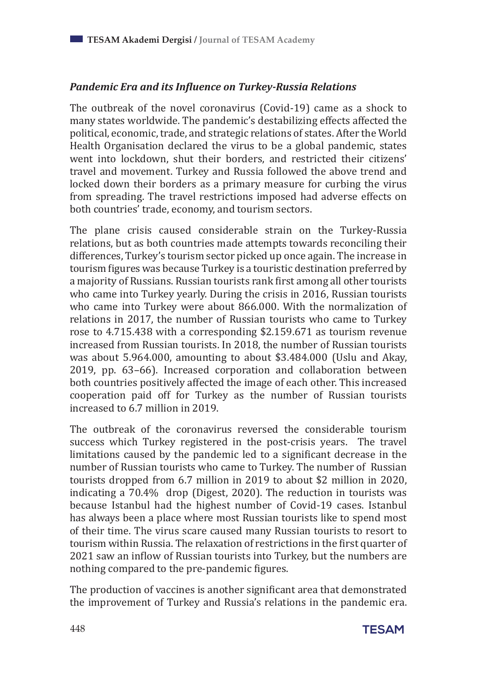#### *Pandemic Era and its Influence on Turkey-Russia Relations*

The outbreak of the novel coronavirus (Covid-19) came as a shock to many states worldwide. The pandemic's destabilizing effects affected the political, economic, trade, and strategic relations of states. After the World Health Organisation declared the virus to be a global pandemic, states went into lockdown, shut their borders, and restricted their citizens' travel and movement. Turkey and Russia followed the above trend and locked down their borders as a primary measure for curbing the virus from spreading. The travel restrictions imposed had adverse effects on both countries' trade, economy, and tourism sectors.

The plane crisis caused considerable strain on the Turkey-Russia relations, but as both countries made attempts towards reconciling their differences, Turkey's tourism sector picked up once again. The increase in tourism figures was because Turkey is a touristic destination preferred by a majority of Russians. Russian tourists rank first among all other tourists who came into Turkey yearly. During the crisis in 2016, Russian tourists who came into Turkey were about 866.000. With the normalization of relations in 2017, the number of Russian tourists who came to Turkey rose to 4.715.438 with a corresponding \$2.159.671 as tourism revenue increased from Russian tourists. In 2018, the number of Russian tourists was about 5.964.000, amounting to about \$3.484.000 (Uslu and Akay, 2019, pp. 63–66). Increased corporation and collaboration between both countries positively affected the image of each other. This increased cooperation paid off for Turkey as the number of Russian tourists increased to 6.7 million in 2019.

The outbreak of the coronavirus reversed the considerable tourism success which Turkey registered in the post-crisis years. The travel limitations caused by the pandemic led to a significant decrease in the number of Russian tourists who came to Turkey. The number of Russian tourists dropped from 6.7 million in 2019 to about \$2 million in 2020, indicating a 70.4% drop (Digest, 2020). The reduction in tourists was because Istanbul had the highest number of Covid-19 cases. Istanbul has always been a place where most Russian tourists like to spend most of their time. The virus scare caused many Russian tourists to resort to tourism within Russia. The relaxation of restrictions in the first quarter of 2021 saw an inflow of Russian tourists into Turkey, but the numbers are nothing compared to the pre-pandemic figures.

The production of vaccines is another significant area that demonstrated the improvement of Turkey and Russia's relations in the pandemic era.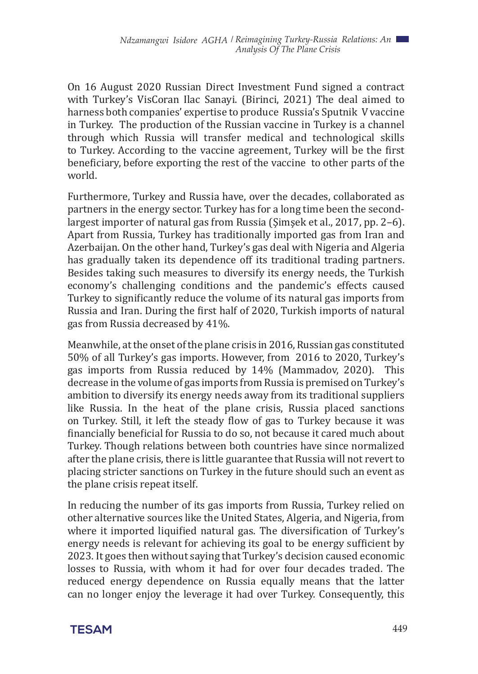On 16 August 2020 Russian Direct Investment Fund signed a contract with Turkey's VisCoran Ilac Sanayi. (Birinci, 2021) The deal aimed to harness both companies' expertise to produce Russia's Sputnik V vaccine in Turkey. The production of the Russian vaccine in Turkey is a channel through which Russia will transfer medical and technological skills to Turkey. According to the vaccine agreement, Turkey will be the first beneficiary, before exporting the rest of the vaccine to other parts of the world.

Furthermore, Turkey and Russia have, over the decades, collaborated as partners in the energy sector. Turkey has for a long time been the secondlargest importer of natural gas from Russia (Şimşek et al., 2017, pp. 2–6). Apart from Russia, Turkey has traditionally imported gas from Iran and Azerbaijan. On the other hand, Turkey's gas deal with Nigeria and Algeria has gradually taken its dependence off its traditional trading partners. Besides taking such measures to diversify its energy needs, the Turkish economy's challenging conditions and the pandemic's effects caused Turkey to significantly reduce the volume of its natural gas imports from Russia and Iran. During the first half of 2020, Turkish imports of natural gas from Russia decreased by 41%.

Meanwhile, at the onset of the plane crisis in 2016, Russian gas constituted 50% of all Turkey's gas imports. However, from 2016 to 2020, Turkey's gas imports from Russia reduced by 14% (Mammadov, 2020). This decrease in the volume of gas imports from Russia is premised on Turkey's ambition to diversify its energy needs away from its traditional suppliers like Russia. In the heat of the plane crisis, Russia placed sanctions on Turkey. Still, it left the steady flow of gas to Turkey because it was financially beneficial for Russia to do so, not because it cared much about Turkey. Though relations between both countries have since normalized after the plane crisis, there is little guarantee that Russia will not revert to placing stricter sanctions on Turkey in the future should such an event as the plane crisis repeat itself.

In reducing the number of its gas imports from Russia, Turkey relied on other alternative sources like the United States, Algeria, and Nigeria, from where it imported liquified natural gas. The diversification of Turkey's energy needs is relevant for achieving its goal to be energy sufficient by 2023. It goes then without saying that Turkey's decision caused economic losses to Russia, with whom it had for over four decades traded. The reduced energy dependence on Russia equally means that the latter can no longer enjoy the leverage it had over Turkey. Consequently, this

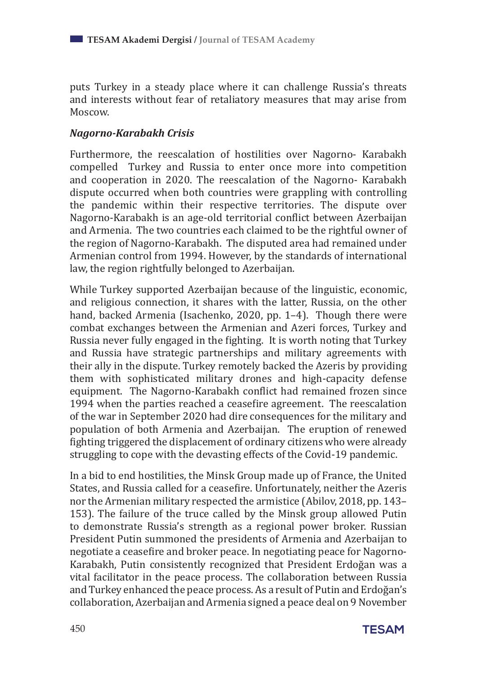puts Turkey in a steady place where it can challenge Russia's threats and interests without fear of retaliatory measures that may arise from Moscow.

#### *Nagorno-Karabakh Crisis*

Furthermore, the reescalation of hostilities over Nagorno- Karabakh compelled Turkey and Russia to enter once more into competition and cooperation in 2020. The reescalation of the Nagorno- Karabakh dispute occurred when both countries were grappling with controlling the pandemic within their respective territories. The dispute over Nagorno-Karabakh is an age-old territorial conflict between Azerbaijan and Armenia. The two countries each claimed to be the rightful owner of the region of Nagorno-Karabakh. The disputed area had remained under Armenian control from 1994. However, by the standards of international law, the region rightfully belonged to Azerbaijan.

While Turkey supported Azerbaijan because of the linguistic, economic, and religious connection, it shares with the latter, Russia, on the other hand, backed Armenia (Isachenko, 2020, pp. 1–4). Though there were combat exchanges between the Armenian and Azeri forces, Turkey and Russia never fully engaged in the fighting. It is worth noting that Turkey and Russia have strategic partnerships and military agreements with their ally in the dispute. Turkey remotely backed the Azeris by providing them with sophisticated military drones and high-capacity defense equipment. The Nagorno-Karabakh conflict had remained frozen since 1994 when the parties reached a ceasefire agreement. The reescalation of the war in September 2020 had dire consequences for the military and population of both Armenia and Azerbaijan. The eruption of renewed fighting triggered the displacement of ordinary citizens who were already struggling to cope with the devasting effects of the Covid-19 pandemic.

In a bid to end hostilities, the Minsk Group made up of France, the United States, and Russia called for a ceasefire. Unfortunately, neither the Azeris nor the Armenian military respected the armistice (Abilov, 2018, pp. 143– 153). The failure of the truce called by the Minsk group allowed Putin to demonstrate Russia's strength as a regional power broker. Russian President Putin summoned the presidents of Armenia and Azerbaijan to negotiate a ceasefire and broker peace. In negotiating peace for Nagorno-Karabakh, Putin consistently recognized that President Erdoğan was a vital facilitator in the peace process. The collaboration between Russia and Turkey enhanced the peace process. As a result of Putin and Erdoğan's collaboration, Azerbaijan and Armenia signed a peace deal on 9 November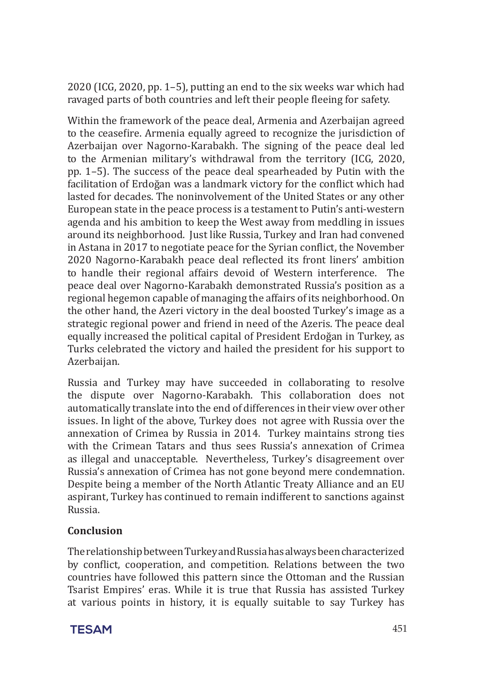2020 (ICG, 2020, pp. 1–5), putting an end to the six weeks war which had ravaged parts of both countries and left their people fleeing for safety.

Within the framework of the peace deal, Armenia and Azerbaijan agreed to the ceasefire. Armenia equally agreed to recognize the jurisdiction of Azerbaijan over Nagorno-Karabakh. The signing of the peace deal led to the Armenian military's withdrawal from the territory (ICG, 2020, pp. 1–5). The success of the peace deal spearheaded by Putin with the facilitation of Erdoğan was a landmark victory for the conflict which had lasted for decades. The noninvolvement of the United States or any other European state in the peace process is a testament to Putin's anti-western agenda and his ambition to keep the West away from meddling in issues around its neighborhood. Just like Russia, Turkey and Iran had convened in Astana in 2017 to negotiate peace for the Syrian conflict, the November 2020 Nagorno-Karabakh peace deal reflected its front liners' ambition to handle their regional affairs devoid of Western interference. The peace deal over Nagorno-Karabakh demonstrated Russia's position as a regional hegemon capable of managing the affairs of its neighborhood. On the other hand, the Azeri victory in the deal boosted Turkey's image as a strategic regional power and friend in need of the Azeris. The peace deal equally increased the political capital of President Erdoğan in Turkey, as Turks celebrated the victory and hailed the president for his support to Azerbaijan.

Russia and Turkey may have succeeded in collaborating to resolve the dispute over Nagorno-Karabakh. This collaboration does not automatically translate into the end of differences in their view over other issues. In light of the above, Turkey does not agree with Russia over the annexation of Crimea by Russia in 2014. Turkey maintains strong ties with the Crimean Tatars and thus sees Russia's annexation of Crimea as illegal and unacceptable. Nevertheless, Turkey's disagreement over Russia's annexation of Crimea has not gone beyond mere condemnation. Despite being a member of the North Atlantic Treaty Alliance and an EU aspirant, Turkey has continued to remain indifferent to sanctions against Russia.

#### **Conclusion**

The relationship between Turkey and Russia has always been characterized by conflict, cooperation, and competition. Relations between the two countries have followed this pattern since the Ottoman and the Russian Tsarist Empires' eras. While it is true that Russia has assisted Turkey at various points in history, it is equally suitable to say Turkey has

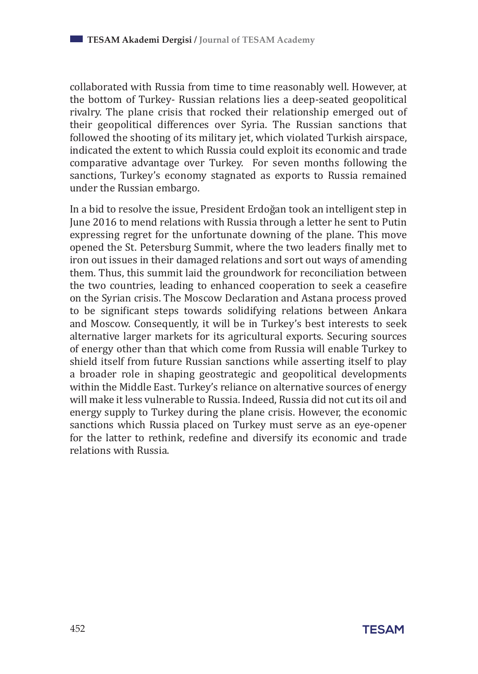collaborated with Russia from time to time reasonably well. However, at the bottom of Turkey- Russian relations lies a deep-seated geopolitical rivalry. The plane crisis that rocked their relationship emerged out of their geopolitical differences over Syria. The Russian sanctions that followed the shooting of its military jet, which violated Turkish airspace, indicated the extent to which Russia could exploit its economic and trade comparative advantage over Turkey. For seven months following the sanctions, Turkey's economy stagnated as exports to Russia remained under the Russian embargo.

In a bid to resolve the issue, President Erdoğan took an intelligent step in June 2016 to mend relations with Russia through a letter he sent to Putin expressing regret for the unfortunate downing of the plane. This move opened the St. Petersburg Summit, where the two leaders finally met to iron out issues in their damaged relations and sort out ways of amending them. Thus, this summit laid the groundwork for reconciliation between the two countries, leading to enhanced cooperation to seek a ceasefire on the Syrian crisis. The Moscow Declaration and Astana process proved to be significant steps towards solidifying relations between Ankara and Moscow. Consequently, it will be in Turkey's best interests to seek alternative larger markets for its agricultural exports. Securing sources of energy other than that which come from Russia will enable Turkey to shield itself from future Russian sanctions while asserting itself to play a broader role in shaping geostrategic and geopolitical developments within the Middle East. Turkey's reliance on alternative sources of energy will make it less vulnerable to Russia. Indeed, Russia did not cut its oil and energy supply to Turkey during the plane crisis. However, the economic sanctions which Russia placed on Turkey must serve as an eye-opener for the latter to rethink, redefine and diversify its economic and trade relations with Russia.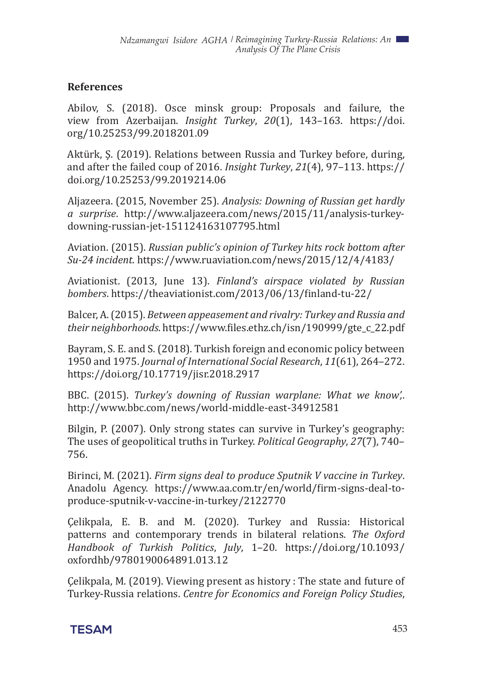#### **References**

Abilov, S. (2018). Osce minsk group: Proposals and failure, the view from Azerbaijan. *Insight Turkey*, *20*(1), 143–163. https://doi. org/10.25253/99.2018201.09

Aktürk, Ş. (2019). Relations between Russia and Turkey before, during, and after the failed coup of 2016. *Insight Turkey*, *21*(4), 97–113. https:// doi.org/10.25253/99.2019214.06

Aljazeera. (2015, November 25). *Analysis: Downing of Russian get hardly a surprise*. http://www.aljazeera.com/news/2015/11/analysis-turkeydowning-russian-jet-151124163107795.html

Aviation. (2015). *Russian public's opinion of Turkey hits rock bottom after Su-24 incident*. https://www.ruaviation.com/news/2015/12/4/4183/

Aviationist. (2013, June 13). *Finland's airspace violated by Russian bombers*. https://theaviationist.com/2013/06/13/finland-tu-22/

Balcer, A. (2015). *Between appeasement and rivalry: Turkey and Russia and their neighborhoods*. https://www.files.ethz.ch/isn/190999/gte\_c\_22.pdf

Bayram, S. E. and S. (2018). Turkish foreign and economic policy between 1950 and 1975. *Journal of International Social Research*, *11*(61), 264–272. https://doi.org/10.17719/jisr.2018.2917

BBC. (2015). *Turkey's downing of Russian warplane: What we know',*. http://www.bbc.com/news/world-middle-east-34912581

Bilgin, P. (2007). Only strong states can survive in Turkey's geography: The uses of geopolitical truths in Turkey. *Political Geography*, *27*(7), 740– 756.

Birinci, M. (2021). *Firm signs deal to produce Sputnik V vaccine in Turkey*. Anadolu Agency. https://www.aa.com.tr/en/world/firm-signs-deal-toproduce-sputnik-v-vaccine-in-turkey/2122770

Çelikpala, E. B. and M. (2020). Turkey and Russia: Historical patterns and contemporary trends in bilateral relations. *The Oxford Handbook of Turkish Politics*, *July*, 1–20. https://doi.org/10.1093/ oxfordhb/9780190064891.013.12

Çelikpala, M. (2019). Viewing present as history : The state and future of Turkey-Russia relations. *Centre for Economics and Foreign Policy Studies*,

**TESAM** 453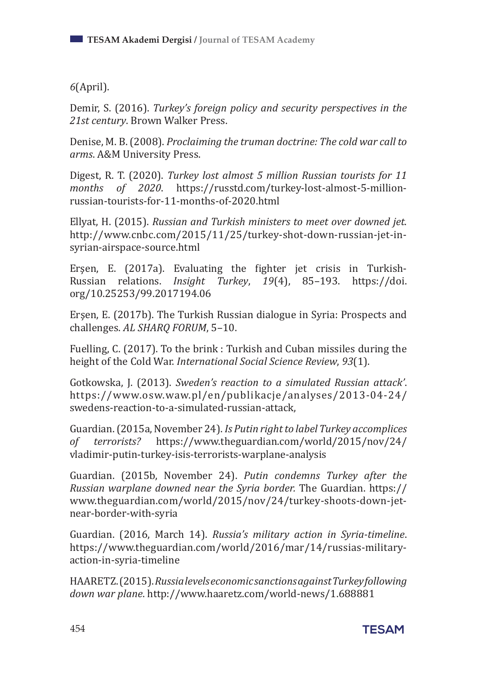*6*(April).

Demir, S. (2016). *Turkey's foreign policy and security perspectives in the 21st century*. Brown Walker Press.

Denise, M. B. (2008). *Proclaiming the truman doctrine: The cold war call to arms*. A&M University Press.

Digest, R. T. (2020). *Turkey lost almost 5 million Russian tourists for 11 months of 2020*. https://russtd.com/turkey-lost-almost-5-millionrussian-tourists-for-11-months-of-2020.html

Ellyat, H. (2015). *Russian and Turkish ministers to meet over downed jet*. http://www.cnbc.com/2015/11/25/turkey-shot-down-russian-jet-insyrian-airspace-source.html

Erşen, E. (2017a). Evaluating the fighter jet crisis in Turkish-Russian relations. *Insight Turkey*, *19*(4), 85–193. https://doi. org/10.25253/99.2017194.06

Erşen, E. (2017b). The Turkish Russian dialogue in Syria: Prospects and challenges. *AL SHARQ FORUM*, 5–10.

Fuelling, C. (2017). To the brink : Turkish and Cuban missiles during the height of the Cold War. *International Social Science Review*, *93*(1).

Gotkowska, J. (2013). *Sweden's reaction to a simulated Russian attack'*. https://www.osw.waw.pl/en/publikacje/analyses/2013-04-24/ swedens-reaction-to-a-simulated-russian-attack,

Guardian. (2015a, November 24). *Is Putin right to label Turkey accomplices of terrorists?* https://www.theguardian.com/world/2015/nov/24/ vladimir-putin-turkey-isis-terrorists-warplane-analysis

Guardian. (2015b, November 24). *Putin condemns Turkey after the Russian warplane downed near the Syria border.* The Guardian. https:// www.theguardian.com/world/2015/nov/24/turkey-shoots-down-jetnear-border-with-syria

Guardian. (2016, March 14). *Russia's military action in Syria-timeline*. https://www.theguardian.com/world/2016/mar/14/russias-militaryaction-in-syria-timeline

HAARETZ. (2015). *Russia levels economic sanctions against Turkey following down war plane*. http://www.haaretz.com/world-news/1.688881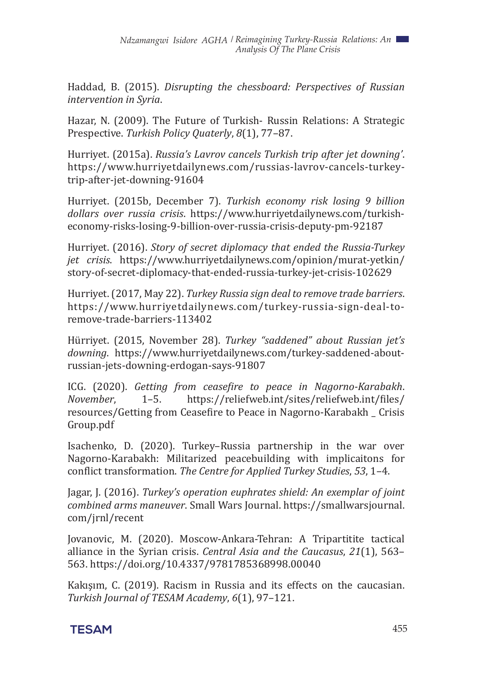Haddad, B. (2015). *Disrupting the chessboard: Perspectives of Russian intervention in Syria*.

Hazar, N. (2009). The Future of Turkish- Russin Relations: A Strategic Prespective. *Turkish Policy Quaterly*, *8*(1), 77–87.

Hurriyet. (2015a). *Russia's Lavrov cancels Turkish trip after jet downing'*. https://www.hurriyetdailynews.com/russias-lavrov-cancels-turkeytrip-after-jet-downing-91604

Hurriyet. (2015b, December 7). *Turkish economy risk losing 9 billion dollars over russia crisis*. https://www.hurriyetdailynews.com/turkisheconomy-risks-losing-9-billion-over-russia-crisis-deputy-pm-92187

Hurriyet. (2016). *Story of secret diplomacy that ended the Russia-Turkey jet crisis*. https://www.hurriyetdailynews.com/opinion/murat-yetkin/ story-of-secret-diplomacy-that-ended-russia-turkey-jet-crisis-102629

Hurriyet. (2017, May 22). *Turkey Russia sign deal to remove trade barriers*. https://www.hurriyetdailynews.com/turkey-russia-sign-deal-toremove-trade-barriers-113402

Hürriyet. (2015, November 28). *Turkey "saddened" about Russian jet's downing*. https://www.hurriyetdailynews.com/turkey-saddened-aboutrussian-jets-downing-erdogan-says-91807

ICG. (2020). *Getting from ceasefire to peace in Nagorno-Karabakh*. https://reliefweb.int/sites/reliefweb.int/files/ resources/Getting from Ceasefire to Peace in Nagorno-Karabakh \_ Crisis Group.pdf

Isachenko, D. (2020). Turkey–Russia partnership in the war over Nagorno-Karabakh: Militarized peacebuilding with implicaitons for conflict transformation. *The Centre for Applied Turkey Studies*, *53*, 1–4.

Jagar, J. (2016). *Turkey's operation euphrates shield: An exemplar of joint combined arms maneuver*. Small Wars Journal. https://smallwarsjournal. com/jrnl/recent

Jovanovic, M. (2020). Moscow-Ankara-Tehran: A Tripartitite tactical alliance in the Syrian crisis. *Central Asia and the Caucasus*, *21*(1), 563– 563. https://doi.org/10.4337/9781785368998.00040

Kakışım, C. (2019). Racism in Russia and its effects on the caucasian. *Turkish Journal of TESAM Academy*, *6*(1), 97–121.

## **TESAM** 455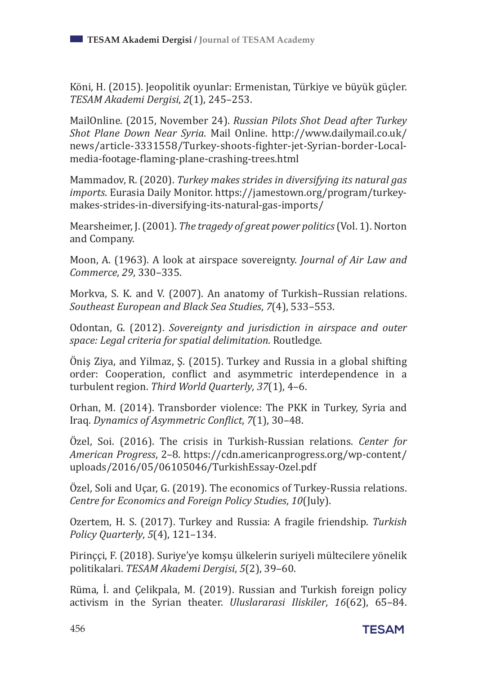Köni, H. (2015). Jeopolitik oyunlar: Ermenistan, Türkiye ve büyük güçler. *TESAM Akademi Dergisi*, *2*(1), 245–253.

MailOnline. (2015, November 24). *Russian Pilots Shot Dead after Turkey Shot Plane Down Near Syria*. Mail Online. http://www.dailymail.co.uk/ news/article-3331558/Turkey-shoots-fighter-jet-Syrian-border-Localmedia-footage-flaming-plane-crashing-trees.html

Mammadov, R. (2020). *Turkey makes strides in diversifying its natural gas imports*. Eurasia Daily Monitor. https://jamestown.org/program/turkeymakes-strides-in-diversifying-its-natural-gas-imports/

Mearsheimer, J. (2001). *The tragedy of great power politics* (Vol. 1). Norton and Company.

Moon, A. (1963). A look at airspace sovereignty. *Journal of Air Law and Commerce*, *29*, 330–335.

Morkva, S. K. and V. (2007). An anatomy of Turkish–Russian relations. *Southeast European and Black Sea Studies*, *7*(4), 533–553.

Odontan, G. (2012). *Sovereignty and jurisdiction in airspace and outer space: Legal criteria for spatial delimitation*. Routledge.

Öniş Ziya, and Yilmaz, Ş. (2015). Turkey and Russia in a global shifting order: Cooperation, conflict and asymmetric interdependence in a turbulent region. *Third World Quarterly*, *37*(1), 4–6.

Orhan, M. (2014). Transborder violence: The PKK in Turkey, Syria and Iraq. *Dynamics of Asymmetric Conflict*, *7*(1), 30–48.

Özel, Soi. (2016). The crisis in Turkish-Russian relations. *Center for American Progress*, 2–8. https://cdn.americanprogress.org/wp-content/ uploads/2016/05/06105046/TurkishEssay-Ozel.pdf

Özel, Soli and Uçar, G. (2019). The economics of Turkey-Russia relations. *Centre for Economics and Foreign Policy Studies*, *10*(July).

Ozertem, H. S. (2017). Turkey and Russia: A fragile friendship. *Turkish Policy Quarterly*, *5*(4), 121–134.

Pirinççi, F. (2018). Suri̇ye'ye komşu ülkeleri̇n suri̇yeli̇ mülteci̇lere yöneli̇k poli̇ti̇kalari. *TESAM Akademi Dergisi*, *5*(2), 39–60.

Rüma, İ. and Çelikpala, M. (2019). Russian and Turkish foreign policy activism in the Syrian theater. *Uluslararasi Iliskiler*, *16*(62), 65–84.